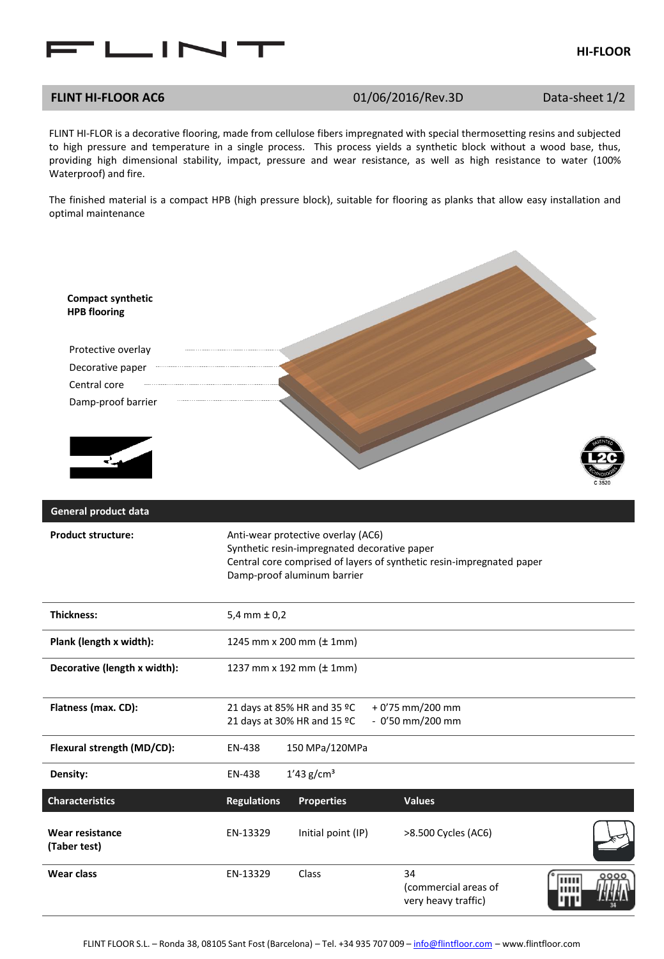

## **FLINT HI-FLOOR AC6** 01/06/2016/Rev.3D Data-sheet 1/2

FLINT HI-FLOR is a decorative flooring, made from cellulose fibers impregnated with special thermosetting resins and subjected to high pressure and temperature in a single process. This process yields a synthetic block without a wood base, thus, providing high dimensional stability, impact, pressure and wear resistance, as well as high resistance to water (100% Waterproof) and fire.

The finished material is a compact HPB (high pressure block), suitable for flooring as planks that allow easy installation and optimal maintenance

| <b>Compact synthetic</b><br><b>HPB flooring</b> |                    |                                                                                                                   |                                                                       |                          |
|-------------------------------------------------|--------------------|-------------------------------------------------------------------------------------------------------------------|-----------------------------------------------------------------------|--------------------------|
| Protective overlay                              |                    |                                                                                                                   |                                                                       |                          |
| Decorative paper                                |                    |                                                                                                                   |                                                                       |                          |
| Central core                                    |                    |                                                                                                                   |                                                                       |                          |
| Damp-proof barrier<br>$\overline{\mathbf{r}}$   |                    |                                                                                                                   |                                                                       |                          |
| General product data                            |                    |                                                                                                                   |                                                                       |                          |
| <b>Product structure:</b>                       |                    | Anti-wear protective overlay (AC6)<br>Synthetic resin-impregnated decorative paper<br>Damp-proof aluminum barrier | Central core comprised of layers of synthetic resin-impregnated paper |                          |
| <b>Thickness:</b>                               | $5,4$ mm $\pm 0,2$ |                                                                                                                   |                                                                       |                          |
| Plank (length x width):                         |                    | 1245 mm x 200 mm (± 1mm)                                                                                          |                                                                       |                          |
| Decorative (length x width):                    |                    | 1237 mm x 192 mm (± 1mm)                                                                                          |                                                                       |                          |
| Flatness (max. CD):                             |                    | 21 days at 85% HR and 35 °C                                                                                       | + 0'75 mm/200 mm                                                      |                          |
|                                                 |                    | 21 days at 30% HR and 15 °C                                                                                       | $-0'50$ mm/200 mm                                                     |                          |
| Flexural strength (MD/CD):                      | EN-438             | 150 MPa/120MPa                                                                                                    |                                                                       |                          |
| Density:                                        | EN-438             | $1'43$ g/cm <sup>3</sup>                                                                                          |                                                                       |                          |
| <b>Characteristics</b>                          | <b>Regulations</b> | <b>Properties</b>                                                                                                 | <b>Values</b>                                                         |                          |
| <b>Wear resistance</b><br>(Taber test)          | EN-13329           | Initial point (IP)                                                                                                | >8.500 Cycles (AC6)                                                   |                          |
| Wear class                                      | EN-13329           | Class                                                                                                             | 34<br>(commercial areas of<br>very heavy traffic)                     | 0000<br>THEFT<br>шш<br>ш |